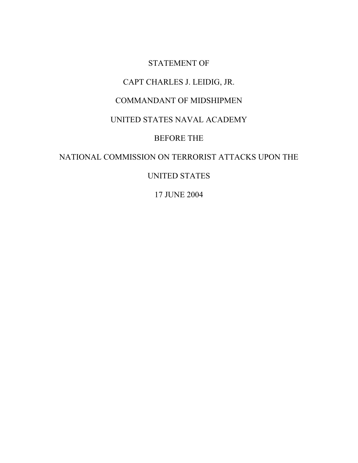#### STATEMENT OF

### CAPT CHARLES J. LEIDIG, JR.

#### COMMANDANT OF MIDSHIPMEN

#### UNITED STATES NAVAL ACADEMY

### BEFORE THE

# NATIONAL COMMISSION ON TERRORIST ATTACKS UPON THE

## UNITED STATES

17 JUNE 2004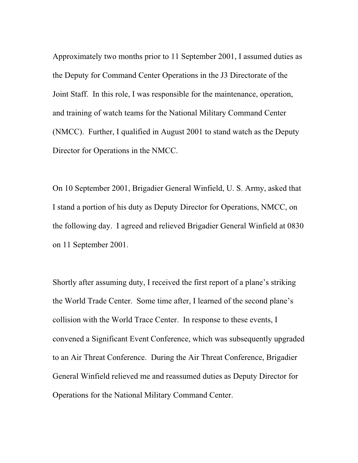Approximately two months prior to 11 September 2001, I assumed duties as the Deputy for Command Center Operations in the J3 Directorate of the Joint Staff. In this role, I was responsible for the maintenance, operation, and training of watch teams for the National Military Command Center (NMCC). Further, I qualified in August 2001 to stand watch as the Deputy Director for Operations in the NMCC.

On 10 September 2001, Brigadier General Winfield, U. S. Army, asked that I stand a portion of his duty as Deputy Director for Operations, NMCC, on the following day. I agreed and relieved Brigadier General Winfield at 0830 on 11 September 2001.

Shortly after assuming duty, I received the first report of a plane's striking the World Trade Center. Some time after, I learned of the second plane's collision with the World Trace Center. In response to these events, I convened a Significant Event Conference, which was subsequently upgraded to an Air Threat Conference. During the Air Threat Conference, Brigadier General Winfield relieved me and reassumed duties as Deputy Director for Operations for the National Military Command Center.